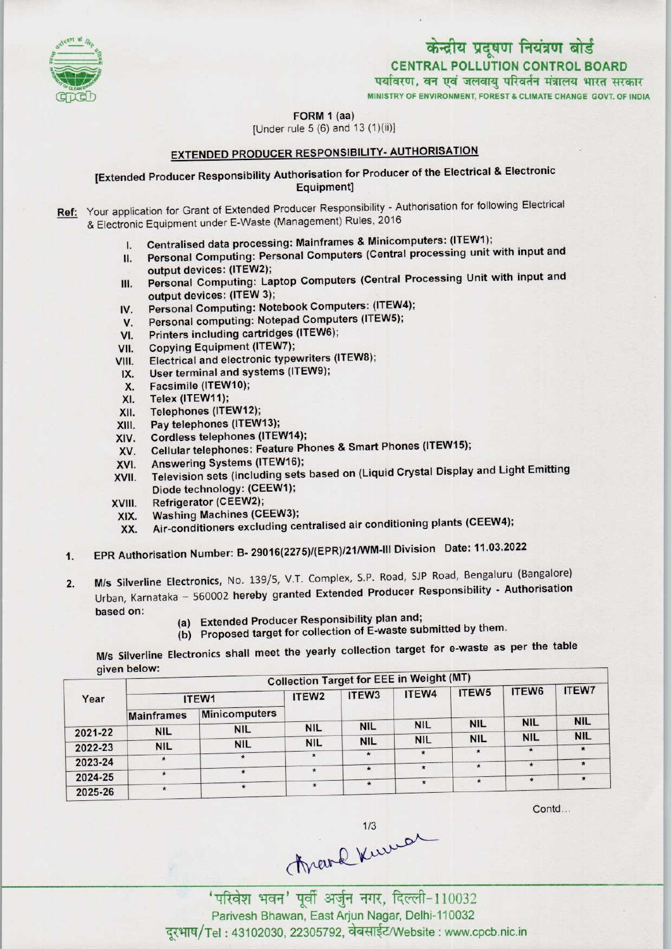

MINISTRY Of ENVIRONMENT, FOREST & CLIMATE CHANGE GOVT. OF INDIA



FORM 1 (aa) [Under rule 5 (6) and 13 (1)(ii)l

EXTENDED PRODUCER RESPONSIBILITY- AUTHORISATION

## [Extended Producer Responsibility Authorisation for Producer of the Electrical & Electronic Equipment]

- Ref: Your application for Grant of Extended Producer Responsibility Authorisation for following Electrical & Electronic Equipment under E-Waste (Management) Rules, 2016
	- I. Centralised data processing: Mainframes & Minicomputers: (ITEW1);
	- II. Personal Computing: Personal Computers (Central processing unit with input and output devices: (1TEW2);
	- III. Personal Computing: Laptop Computers (Central Processing Unit with input and output devices: (1TEW 3); III. Personal Computing: Laptop Computers (Central Production Computers: (ITEW4);<br>IV. Personal Computing: Notebook Computers: (ITEW4);
	- output devices: (ITEW 3);<br>V. Personal Computing: Notebook Computers: (ITEW<br>V. Personal computing: Notepad Computers (ITEW5);
	- IV. Personal Computing: Notebook Computers: (ITEW4<br>V. Personal computing: Notepad Computers (ITEW5);<br>VI. Printers including cartridges (ITEW6);<br>VII. Copying Equipment (ITEW7);
	-
	-
	- VII. Copying Equipment (ITEW7);<br>VIII. Electrical and electronic type VI. Printers including cartridges (ITEW6);<br>VIII. Copying Equipment (ITEW7);<br>VIII. Electrical and electronic typewriters (ITEW8); IX.Userterminal and systems(ITEW9);
	- IX. User terminal and systems (ITEW9);<br>X. Facsimile (ITEW10);<br>XI. Telex (ITEW11);
	-
	-
	- XI. Telex (ITEW11);<br>XII. Telephones (ITE
	- XII. Telephones (ITEW12);<br>XIII. Pay telephones (ITEW
	- XIII. Pay telephones (ITEW13);<br>XIV. Cordless telephones (ITEV
	- XIV. Cordless telephones (ITEW14);<br>XV. Cellular telephones: Feature Ph XIII. Pay telephones (ITEW13);<br>KIV. Cordless telephones (ITEW14);<br>XV. Cellular telephones: Feature Phones & Smart Phones (ITEW15); XIV. Cordiess telephones (ITEW14)<br>XV. Cellular telephones: Feature P<br>XVI. Answering Systems (ITEW16);
	-
	- XVI. Answering Systems (ITEW16);<br>XVII. Television sets (including sets based on (Liquid Crystal Display and Light Emitting Diode technology: (CEEW1);
	- XVIII. Refrigerator(CEEW2);
	-
	- XIX. Washing Machines (CEEW3);<br>XX. Air-conditioners excluding ce Air-conditioners excluding centralised air conditioning plants (CEEW4);
	- 1.EPR Authorisation Number:B- 29016(2275)/(EPR)/21/WM-lll Division Date: 11.03.2022
	- 2. M/s Silverline Electronics, No. 139/5, V.T. Complex, S.P. Road, SJP Road, Bengaluru (Bangalore) M/s Silverline Electronics, No. 139/5, V.T. Complex, S.P. Road, SJP Road, Bengalurd (Bangalorc)<br>Urban, Karnataka - 560002 hereby granted Extended Producer Responsibility - Authorisation M/s Silverline Electronics, No. 139/5, V.T. Complex, S.P. Road, SJ<br>Urban, Karnataka – 560002 hereby granted Extended Producer I<br>based on: (a) Extended Producer Responsibility plan and;<br>(b) Proposed target for collection of
		-
		- (a) Extended Producer Responsibility plan and;<br>(b) Proposed target for collection of E-waste submitted by them.

M/s Silverline Electronics shall meet the yearly collection target for e-waste as per the table given below:

|         | discussoru.       |                      |                   | <b>Collection Target for EEE in Weight (MT)</b> |            |            |            |              |
|---------|-------------------|----------------------|-------------------|-------------------------------------------------|------------|------------|------------|--------------|
| Year    | ITEW1             |                      | ITEW <sub>2</sub> | ITEW <sub>3</sub>                               | ITEW4      | ITEW5      | ITEW6      | <b>ITEW7</b> |
|         | <b>Mainframes</b> | <b>Minicomputers</b> |                   |                                                 |            |            |            |              |
|         | <b>NIL</b>        | <b>NIL</b>           | <b>NIL</b>        | <b>NIL</b>                                      | <b>NIL</b> | <b>NIL</b> | <b>NIL</b> | <b>NIL</b>   |
| 2021-22 |                   |                      |                   | <b>NIL</b>                                      | <b>NIL</b> | <b>NIL</b> | <b>NIL</b> | <b>NIL</b>   |
| 2022-23 | <b>NIL</b>        | <b>NIL</b>           | <b>NIL</b>        |                                                 | $\star$    | $\star$    |            |              |
| 2023-24 | $\star$           | $\star$              | $\star$           | $\star$                                         |            |            |            |              |
|         | $\star$           | $\star$              | $\star$           | $\star$                                         | $\star$    |            | $\star$    | $\star$      |
| 2024-25 |                   |                      |                   |                                                 | $\star$    | $\star$    | $\star$    | $\star$      |
| 2025-26 |                   | $\star$              | $\star$           | $\star$                                         |            |            |            |              |

Contd...

Thank Kween

Parivesh Bhawan, East Arjun Nagar, Delhi-110032 : 43102030, 22305792, ^^l/Website : www.cpcb.nic.in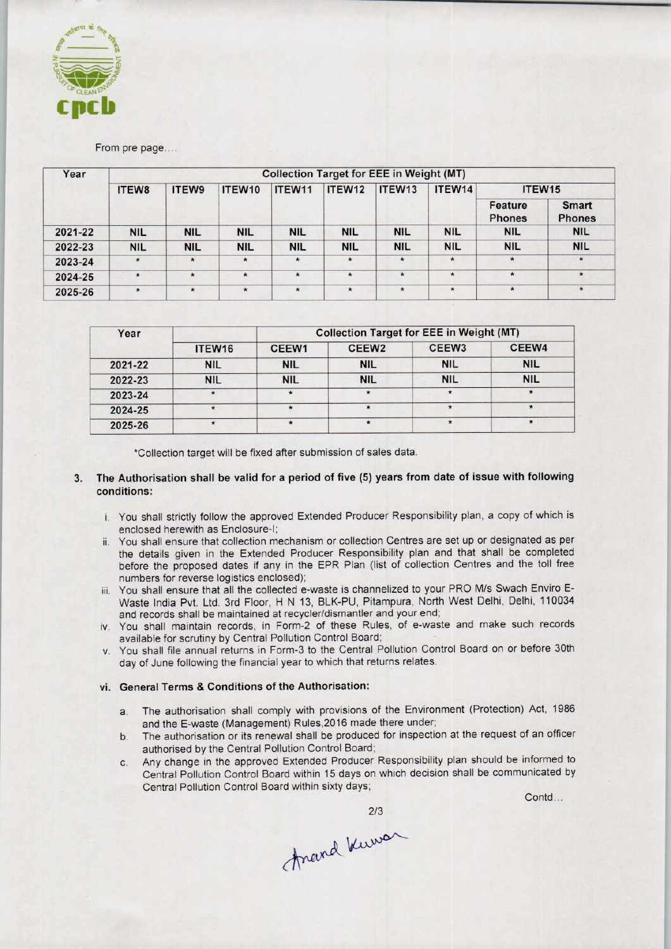

From pre page...

| Year    |            |            |            |            |            | <b>Collection Target for EEE in Weight (MT)</b> |            |                          |                               |
|---------|------------|------------|------------|------------|------------|-------------------------------------------------|------------|--------------------------|-------------------------------|
|         | ITEW8      | ITEW9      | ITEW10     | ITEW11     | ITEW12     | ITEW13                                          | ITEW14     | ITEW <sub>15</sub>       |                               |
|         |            |            |            |            |            |                                                 |            | Feature<br><b>Phones</b> | <b>Smart</b><br><b>Phones</b> |
| 2021-22 | <b>NIL</b> | <b>NIL</b> | <b>NIL</b> | <b>NIL</b> | <b>NIL</b> | <b>NIL</b>                                      | <b>NIL</b> | <b>NIL</b>               | <b>NIL</b>                    |
| 2022-23 | <b>NIL</b> | <b>NIL</b> | <b>NIL</b> | <b>NIL</b> | <b>NIL</b> | <b>NIL</b>                                      | <b>NIL</b> | <b>NIL</b>               | <b>NIL</b>                    |
| 2023-24 | $\star$    | $\star$    | $\star$    | $\star$    | $\star$    | $\star$                                         | $\star$    | $\star$                  | $\star$                       |
| 2024-25 | $\star$    | $\star$    | $\star$    | $\star$    | $\star$    | $\star$                                         | $\star$    | $\star$                  | $\star$                       |
| 2025-26 | $\star$    | $\star$    | $\star$    | $\star$    | $\star$    | $\star$                                         | $\star$    | $\star$                  | $\star$                       |

| Year    |            | <b>Collection Target for EEE in Weight (MT)</b> |                   |                   |            |  |  |  |
|---------|------------|-------------------------------------------------|-------------------|-------------------|------------|--|--|--|
|         | ITEW16     | CEEW1                                           | CEEW <sub>2</sub> | CEEW <sub>3</sub> | CEEW4      |  |  |  |
| 2021-22 | <b>NIL</b> | <b>NIL</b>                                      | <b>NIL</b>        | <b>NIL</b>        | <b>NIL</b> |  |  |  |
| 2022-23 | <b>NIL</b> | <b>NIL</b>                                      | <b>NIL</b>        | <b>NIL</b>        | <b>NIL</b> |  |  |  |
| 2023-24 | $\star$    | $\star$                                         | $\star$           |                   |            |  |  |  |
| 2024-25 |            |                                                 |                   |                   |            |  |  |  |
| 2025-26 |            | $\star$                                         | $\star$           |                   |            |  |  |  |

\*Collection target will be fixed after submission of sales data.

## The Authorisation shall be valid for a period of five (5) years from date of issue with following  $3.$ conditions:

- i. You shall strictly follow the approved Extended Producer Responsibility plan, a copy of which is enclosed herewith as Enclosure-I;
- ii. You shall ensure that collection mechanism or collection Centres are set up or designated as per the details given in the Extended Producer Responsibility plan and that shall be completed before the proposed dates if any in the EPR Plan {list of collection Centres and the toll free numbers for reverse logistics enclosed);
- iii. You shall ensure that all the collected e-waste is channelized to your PRO M/s Swach Enviro E-Waste India Pvt. Ltd. 3rd Floor, H N 13, BLK-PU, Pitampura, North West Delhi, Delhi, 110034 and records shall be maintained at recycler/dismantler and your end;
- iv. You shall maintain records, in Form-2 of these Rules, of e-waste and make such records available for scrutiny by Central Pollution Control Board;
- v. You shall file annual returns in Form-3 to the Central Pollution Control Board on or before 30th day of June following the financial year to which that returns relates.

## vi. General Terms & Conditions of the Authorisation:

- a. The authorisation shall comply with provisions of the Environment (Protection) Act, 1986 and the E-waste (Management) Rules,2016 made there under;
- b.The authorisation or its renewal shall be produced for inspection at the request of an officer authorised by the Central Pollution Control Board;
- C. Any change in the approved Extended Producer Responsibility plan should be informed to Central Pollution Control Board within 15 days on which decision shall be communicated by Central Pollution Control Board within sixty days;

Contd...

2/3<br>Anand Kuwa